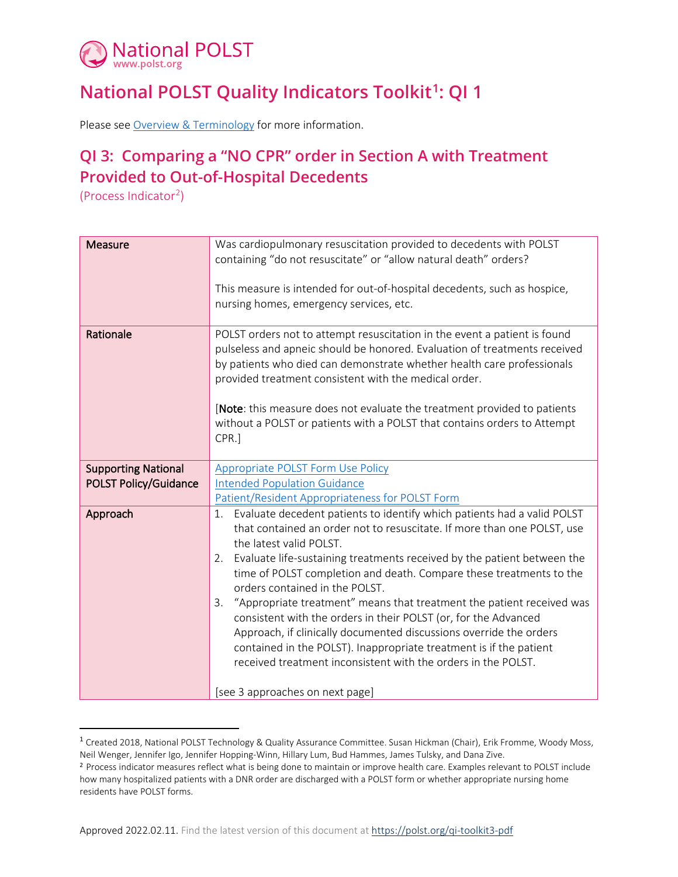

## **National POLST Quality Indicators Toolkit[1:](#page-0-0) QI 1**

Please se[e Overview & Terminology](https://polst.org/qi-overview-pdf) for more information.

## **QI 3: Comparing a "NO CPR" order in Section A with Treatment Provided to Out-of-Hospital Decedents**

(Process Indicator[2\)](#page-0-1)

| <b>Measure</b>               | Was cardiopulmonary resuscitation provided to decedents with POLST<br>containing "do not resuscitate" or "allow natural death" orders?<br>This measure is intended for out-of-hospital decedents, such as hospice,<br>nursing homes, emergency services, etc.                                                                                                                                                                                                                                                                                                                                                                                                                                                                                |  |
|------------------------------|----------------------------------------------------------------------------------------------------------------------------------------------------------------------------------------------------------------------------------------------------------------------------------------------------------------------------------------------------------------------------------------------------------------------------------------------------------------------------------------------------------------------------------------------------------------------------------------------------------------------------------------------------------------------------------------------------------------------------------------------|--|
|                              |                                                                                                                                                                                                                                                                                                                                                                                                                                                                                                                                                                                                                                                                                                                                              |  |
| Rationale                    | POLST orders not to attempt resuscitation in the event a patient is found<br>pulseless and apneic should be honored. Evaluation of treatments received<br>by patients who died can demonstrate whether health care professionals<br>provided treatment consistent with the medical order.                                                                                                                                                                                                                                                                                                                                                                                                                                                    |  |
|                              | [Note: this measure does not evaluate the treatment provided to patients<br>without a POLST or patients with a POLST that contains orders to Attempt<br>CPR.]                                                                                                                                                                                                                                                                                                                                                                                                                                                                                                                                                                                |  |
| <b>Supporting National</b>   | <b>Appropriate POLST Form Use Policy</b>                                                                                                                                                                                                                                                                                                                                                                                                                                                                                                                                                                                                                                                                                                     |  |
| <b>POLST Policy/Guidance</b> | <b>Intended Population Guidance</b>                                                                                                                                                                                                                                                                                                                                                                                                                                                                                                                                                                                                                                                                                                          |  |
|                              | Patient/Resident Appropriateness for POLST Form                                                                                                                                                                                                                                                                                                                                                                                                                                                                                                                                                                                                                                                                                              |  |
| Approach                     | Evaluate decedent patients to identify which patients had a valid POLST<br>1.<br>that contained an order not to resuscitate. If more than one POLST, use<br>the latest valid POLST.<br>Evaluate life-sustaining treatments received by the patient between the<br>2.<br>time of POLST completion and death. Compare these treatments to the<br>orders contained in the POLST.<br>"Appropriate treatment" means that treatment the patient received was<br>3.<br>consistent with the orders in their POLST (or, for the Advanced<br>Approach, if clinically documented discussions override the orders<br>contained in the POLST). Inappropriate treatment is if the patient<br>received treatment inconsistent with the orders in the POLST. |  |
|                              | [see 3 approaches on next page]                                                                                                                                                                                                                                                                                                                                                                                                                                                                                                                                                                                                                                                                                                              |  |

<span id="page-0-0"></span><sup>&</sup>lt;sup>1</sup> Created 2018, National POLST Technology & Quality Assurance Committee. Susan Hickman (Chair), Erik Fromme, Woody Moss, Neil Wenger, Jennifer Igo, Jennifer Hopping-Winn, Hillary Lum, Bud Hammes, James Tulsky, and Dana Zive.

<span id="page-0-1"></span><sup>2</sup> Process indicator measures reflect what is being done to maintain or improve health care. Examples relevant to POLST include how many hospitalized patients with a DNR order are discharged with a POLST form or whether appropriate nursing home residents have POLST forms.